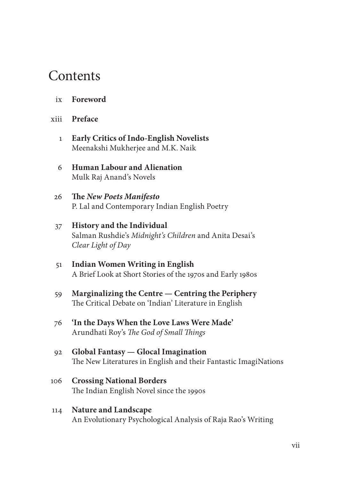## **Contents**

- ix **Foreword**
- xiii **Preface**
	- 1 **Early Critics of Indo-English Novelists** Meenakshi Mukherjee and M.K. Naik
	- 6 **Human Labour and Alienation** Mulk Raj Anand's Novels
	- 26 **Th e** *New Poets Manifesto* P. Lal and Contemporary Indian English Poetry

## 37 **History and the Individual** Salman Rushdie's *Midnight's Children* and Anita Desai's *Clear Light of Day*

- 51 **Indian Women Writing in English** A Brief Look at Short Stories of the 1970s and Early 1980s
- 59 **Marginalizing the Centre Centring the Periphery** The Critical Debate on 'Indian' Literature in English
- 76 **'In the Days When the Love Laws Were Made'** Arundhati Roy's *The God of Small Things*
- 92 **Global Fantasy Glocal Imagination** The New Literatures in English and their Fantastic ImagiNations
- 106 **Crossing National Borders** The Indian English Novel since the 1990s
- 114 **Nature and Landscape** An Evolutionary Psychological Analysis of Raja Rao's Writing